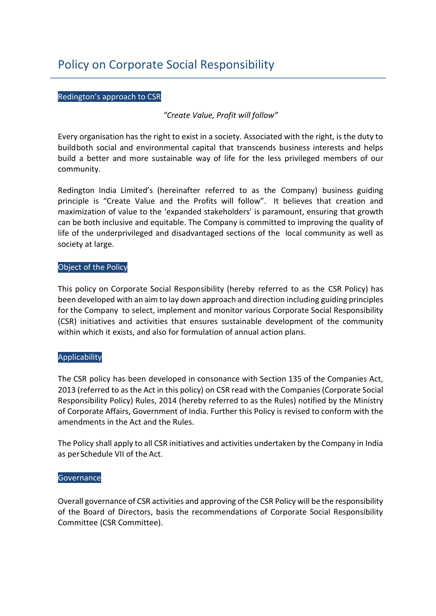# Policy on Corporate Social Responsibility

#### Redington's approach to CSR

*"Create Value, Profit will follow"*

Every organisation has the right to exist in a society. Associated with the right, is the duty to buildboth social and environmental capital that transcends business interests and helps build a better and more sustainable way of life for the less privileged members of our community.

Redington India Limited's (hereinafter referred to as the Company) business guiding principle is "Create Value and the Profits will follow". It believes that creation and maximization of value to the 'expanded stakeholders' is paramount, ensuring that growth can be both inclusive and equitable. The Company is committed to improving the quality of life of the underprivileged and disadvantaged sections of the local community as well as society at large.

#### Object of the Policy

This policy on Corporate Social Responsibility (hereby referred to as the CSR Policy) has been developed with an aim to lay down approach and direction including guiding principles for the Company to select, implement and monitor various Corporate Social Responsibility (CSR) initiatives and activities that ensures sustainable development of the community within which it exists, and also for formulation of annual action plans.

## Applicability

The CSR policy has been developed in consonance with Section 135 of the Companies Act, 2013 (referred to as the Act in this policy) on CSR read with the Companies (Corporate Social Responsibility Policy) Rules, 2014 (hereby referred to as the Rules) notified by the Ministry of Corporate Affairs, Government of India. Further this Policy is revised to conform with the amendments in the Act and the Rules.

The Policy shall apply to all CSR initiatives and activities undertaken by the Company in India as per Schedule VII of the Act.

#### **Governance**

Overall governance of CSR activities and approving of the CSR Policy will be the responsibility of the Board of Directors, basis the recommendations of Corporate Social Responsibility Committee (CSR Committee).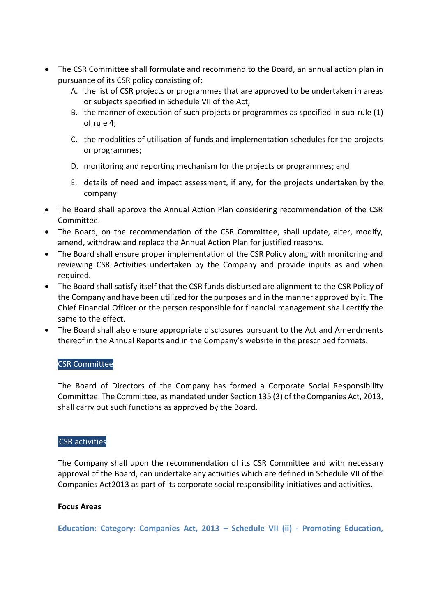- The CSR Committee shall formulate and recommend to the Board, an annual action plan in pursuance of its CSR policy consisting of:
	- A. the list of CSR projects or programmes that are approved to be undertaken in areas or subjects specified in Schedule VII of the Act;
	- B. the manner of execution of such projects or programmes as specified in sub-rule (1) of rule 4;
	- C. the modalities of utilisation of funds and implementation schedules for the projects or programmes;
	- D. monitoring and reporting mechanism for the projects or programmes; and
	- E. details of need and impact assessment, if any, for the projects undertaken by the company
- The Board shall approve the Annual Action Plan considering recommendation of the CSR Committee.
- The Board, on the recommendation of the CSR Committee, shall update, alter, modify, amend, withdraw and replace the Annual Action Plan for justified reasons.
- The Board shall ensure proper implementation of the CSR Policy along with monitoring and reviewing CSR Activities undertaken by the Company and provide inputs as and when required.
- The Board shall satisfy itself that the CSR funds disbursed are alignment to the CSR Policy of the Company and have been utilized for the purposes and in the manner approved by it. The Chief Financial Officer or the person responsible for financial management shall certify the same to the effect.
- The Board shall also ensure appropriate disclosures pursuant to the Act and Amendments thereof in the Annual Reports and in the Company's website in the prescribed formats.

# CSR Committee

The Board of Directors of the Company has formed a Corporate Social Responsibility Committee. The Committee, as mandated under Section 135 (3) of the Companies Act, 2013, shall carry out such functions as approved by the Board.

## CSR activities

The Company shall upon the recommendation of its CSR Committee and with necessary approval of the Board, can undertake any activities which are defined in Schedule VII of the Companies Act2013 as part of its corporate social responsibility initiatives and activities.

## **Focus Areas**

**Education: Category: Companies Act, 2013 – Schedule VII (ii) - Promoting Education,**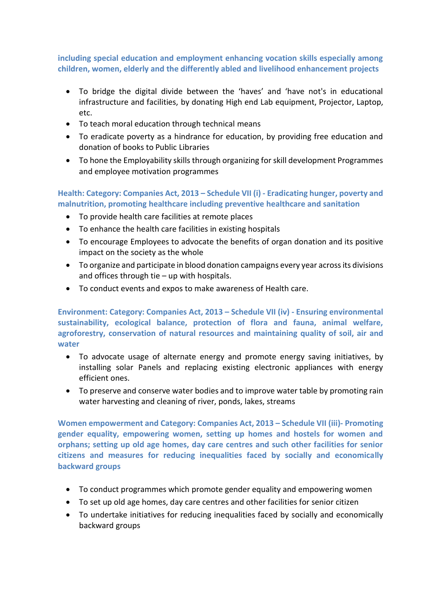**including special education and employment enhancing vocation skills especially among children, women, elderly and the differently abled and livelihood enhancement projects**

- To bridge the digital divide between the 'haves' and 'have not's in educational infrastructure and facilities, by donating High end Lab equipment, Projector, Laptop, etc.
- To teach moral education through technical means
- To eradicate poverty as a hindrance for education, by providing free education and donation of books to Public Libraries
- To hone the Employability skills through organizing for skill development Programmes and employee motivation programmes

**Health: Category: Companies Act, 2013 – Schedule VII (i) - Eradicating hunger, poverty and malnutrition, promoting healthcare including preventive healthcare and sanitation** 

- To provide health care facilities at remote places
- To enhance the health care facilities in existing hospitals
- To encourage Employees to advocate the benefits of organ donation and its positive impact on the society as the whole
- To organize and participate in blood donation campaigns every year across its divisions and offices through tie – up with hospitals.
- To conduct events and expos to make awareness of Health care.

**Environment: Category: Companies Act, 2013 – Schedule VII (iv) - Ensuring environmental sustainability, ecological balance, protection of flora and fauna, animal welfare, agroforestry, conservation of natural resources and maintaining quality of soil, air and water**

- To advocate usage of alternate energy and promote energy saving initiatives, by installing solar Panels and replacing existing electronic appliances with energy efficient ones.
- To preserve and conserve water bodies and to improve water table by promoting rain water harvesting and cleaning of river, ponds, lakes, streams

**Women empowerment and Category: Companies Act, 2013 – Schedule VII (iii)- Promoting gender equality, empowering women, setting up homes and hostels for women and orphans; setting up old age homes, day care centres and such other facilities for senior citizens and measures for reducing inequalities faced by socially and economically backward groups**

- To conduct programmes which promote gender equality and empowering women
- To set up old age homes, day care centres and other facilities for senior citizen
- To undertake initiatives for reducing inequalities faced by socially and economically backward groups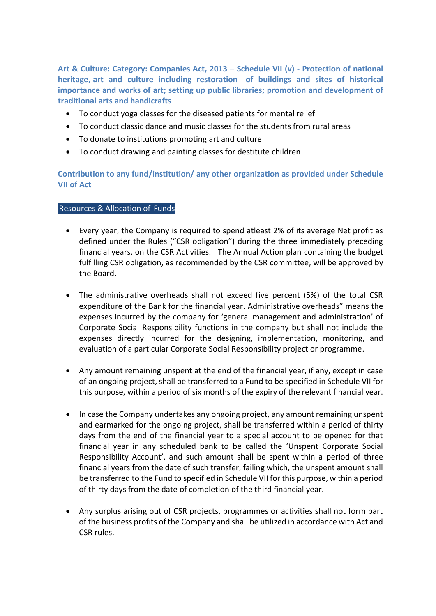**Art & Culture: Category: Companies Act, 2013 – Schedule VII (v) - Protection of national heritage, art and culture including restoration of buildings and sites of historical importance and works of art; setting up public libraries; promotion and development of traditional arts and handicrafts**

- To conduct yoga classes for the diseased patients for mental relief
- To conduct classic dance and music classes for the students from rural areas
- To donate to institutions promoting art and culture
- To conduct drawing and painting classes for destitute children

**Contribution to any fund/institution/ any other organization as provided under Schedule VII of Act**

#### Resources & Allocation of Funds

- Every year, the Company is required to spend atleast 2% of its average Net profit as defined under the Rules ("CSR obligation") during the three immediately preceding financial years, on the CSR Activities. The Annual Action plan containing the budget fulfilling CSR obligation, as recommended by the CSR committee, will be approved by the Board.
- The administrative overheads shall not exceed five percent (5%) of the total CSR expenditure of the Bank for the financial year. Administrative overheads" means the expenses incurred by the company for 'general management and administration' of Corporate Social Responsibility functions in the company but shall not include the expenses directly incurred for the designing, implementation, monitoring, and evaluation of a particular Corporate Social Responsibility project or programme.
- Any amount remaining unspent at the end of the financial year, if any, except in case of an ongoing project, shall be transferred to a Fund to be specified in Schedule VII for this purpose, within a period of six months of the expiry of the relevant financial year.
- In case the Company undertakes any ongoing project, any amount remaining unspent and earmarked for the ongoing project, shall be transferred within a period of thirty days from the end of the financial year to a special account to be opened for that financial year in any scheduled bank to be called the 'Unspent Corporate Social Responsibility Account', and such amount shall be spent within a period of three financial years from the date of such transfer, failing which, the unspent amount shall be transferred to the Fund to specified in Schedule VII for this purpose, within a period of thirty days from the date of completion of the third financial year.
- Any surplus arising out of CSR projects, programmes or activities shall not form part of the business profits of the Company and shall be utilized in accordance with Act and CSR rules.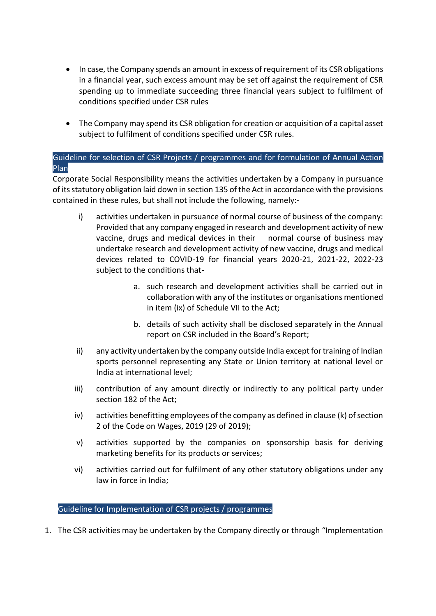- In case, the Company spends an amount in excess of requirement of its CSR obligations in a financial year, such excess amount may be set off against the requirement of CSR spending up to immediate succeeding three financial years subject to fulfilment of conditions specified under CSR rules
- The Company may spend its CSR obligation for creation or acquisition of a capital asset subject to fulfilment of conditions specified under CSR rules.

# Guideline for selection of CSR Projects / programmes and for formulation of Annual Action Plan

Corporate Social Responsibility means the activities undertaken by a Company in pursuance of its statutory obligation laid down in section 135 of the Act in accordance with the provisions contained in these rules, but shall not include the following, namely:-

- i) activities undertaken in pursuance of normal course of business of the company: Provided that any company engaged in research and development activity of new vaccine, drugs and medical devices in their normal course of business may undertake research and development activity of new vaccine, drugs and medical devices related to COVID-19 for financial years 2020-21, 2021-22, 2022-23 subject to the conditions that
	- a. such research and development activities shall be carried out in collaboration with any of the institutes or organisations mentioned in item (ix) of Schedule VII to the Act;
	- b. details of such activity shall be disclosed separately in the Annual report on CSR included in the Board's Report;
- ii) any activity undertaken by the company outside India except for training of Indian sports personnel representing any State or Union territory at national level or India at international level;
- iii) contribution of any amount directly or indirectly to any political party under section 182 of the Act;
- iv) activities benefitting employees of the company as defined in clause (k) of section 2 of the Code on Wages, 2019 (29 of 2019);
- v) activities supported by the companies on sponsorship basis for deriving marketing benefits for its products or services;
- vi) activities carried out for fulfilment of any other statutory obligations under any law in force in India;

# Guideline for Implementation of CSR projects / programmes

1. The CSR activities may be undertaken by the Company directly or through "Implementation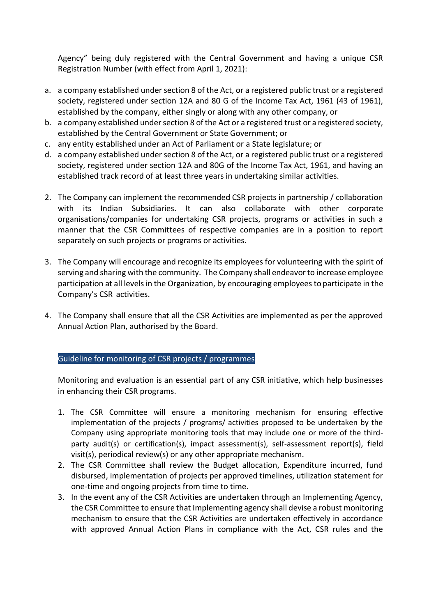Agency" being duly registered with the Central Government and having a unique CSR Registration Number (with effect from April 1, 2021):

- a. a company established under section 8 of the Act, or a registered public trust or a registered society, registered under section 12A and 80 G of the Income Tax Act, 1961 (43 of 1961), established by the company, either singly or along with any other company, or
- b. a company established under section 8 of the Act or a registered trust or a registered society, established by the Central Government or State Government; or
- c. any entity established under an Act of Parliament or a State legislature; or
- d. a company established under section 8 of the Act, or a registered public trust or a registered society, registered under section 12A and 80G of the Income Tax Act, 1961, and having an established track record of at least three years in undertaking similar activities.
- 2. The Company can implement the recommended CSR projects in partnership / collaboration with its Indian Subsidiaries. It can also collaborate with other corporate organisations/companies for undertaking CSR projects, programs or activities in such a manner that the CSR Committees of respective companies are in a position to report separately on such projects or programs or activities.
- 3. The Company will encourage and recognize its employees for volunteering with the spirit of serving and sharing with the community. The Company shall endeavor to increase employee participation at all levels in the Organization, by encouraging employees to participate in the Company's CSR activities.
- 4. The Company shall ensure that all the CSR Activities are implemented as per the approved Annual Action Plan, authorised by the Board.

Guideline for monitoring of CSR projects / programmes

Monitoring and evaluation is an essential part of any CSR initiative, which help businesses in enhancing their CSR programs.

- 1. The CSR Committee will ensure a monitoring mechanism for ensuring effective implementation of the projects / programs/ activities proposed to be undertaken by the Company using appropriate monitoring tools that may include one or more of the thirdparty audit(s) or certification(s), impact assessment(s), self-assessment report(s), field visit(s), periodical review(s) or any other appropriate mechanism.
- 2. The CSR Committee shall review the Budget allocation, Expenditure incurred, fund disbursed, implementation of projects per approved timelines, utilization statement for one-time and ongoing projects from time to time.
- 3. In the event any of the CSR Activities are undertaken through an Implementing Agency, the CSR Committee to ensure that Implementing agency shall devise a robust monitoring mechanism to ensure that the CSR Activities are undertaken effectively in accordance with approved Annual Action Plans in compliance with the Act, CSR rules and the